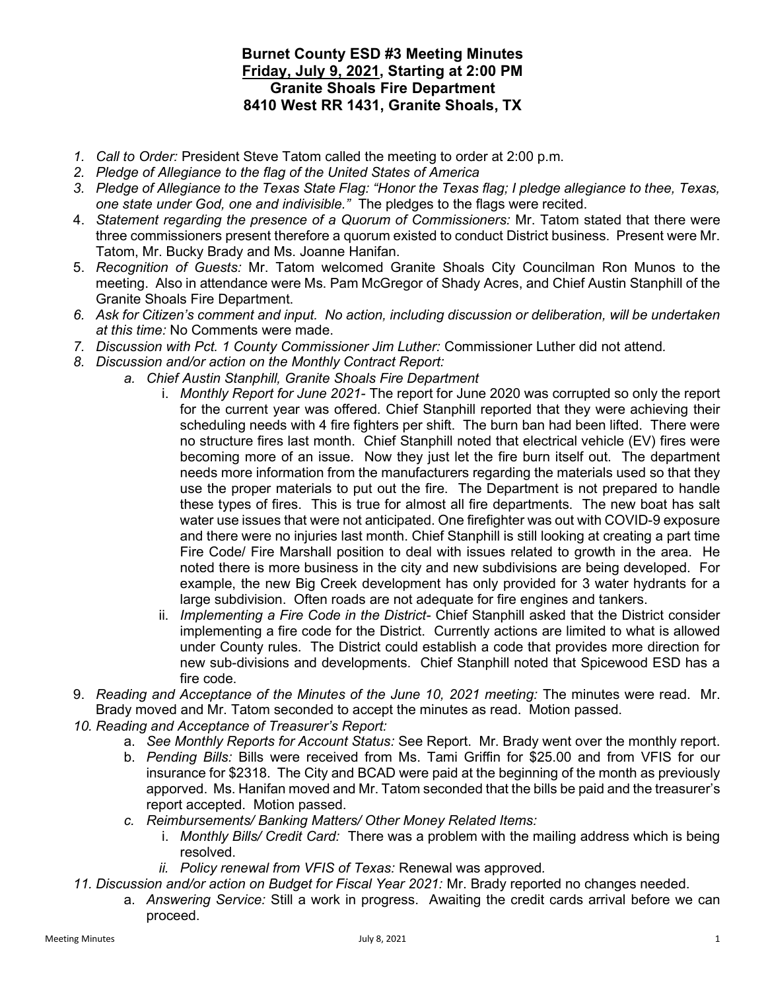## Burnet County ESD #3 Meeting Minutes Friday, July 9, 2021, Starting at 2:00 PM Granite Shoals Fire Department 8410 West RR 1431, Granite Shoals, TX

- 1. Call to Order: President Steve Tatom called the meeting to order at 2:00 p.m.
- 2. Pledge of Allegiance to the flag of the United States of America
- 3. Pledge of Allegiance to the Texas State Flag: "Honor the Texas flag; I pledge allegiance to thee, Texas, one state under God, one and indivisible." The pledges to the flags were recited.
- 4. Statement regarding the presence of a Quorum of Commissioners: Mr. Tatom stated that there were three commissioners present therefore a quorum existed to conduct District business. Present were Mr. Tatom, Mr. Bucky Brady and Ms. Joanne Hanifan.
- 5. Recognition of Guests: Mr. Tatom welcomed Granite Shoals City Councilman Ron Munos to the meeting. Also in attendance were Ms. Pam McGregor of Shady Acres, and Chief Austin Stanphill of the Granite Shoals Fire Department.
- 6. Ask for Citizen's comment and input. No action, including discussion or deliberation, will be undertaken at this time: No Comments were made.
- 7. Discussion with Pct. 1 County Commissioner Jim Luther: Commissioner Luther did not attend.
- 8. Discussion and/or action on the Monthly Contract Report:
	- a. Chief Austin Stanphill, Granite Shoals Fire Department
		- i. Monthly Report for June 2021- The report for June 2020 was corrupted so only the report for the current year was offered. Chief Stanphill reported that they were achieving their scheduling needs with 4 fire fighters per shift. The burn ban had been lifted. There were no structure fires last month. Chief Stanphill noted that electrical vehicle (EV) fires were becoming more of an issue. Now they just let the fire burn itself out. The department needs more information from the manufacturers regarding the materials used so that they use the proper materials to put out the fire. The Department is not prepared to handle these types of fires. This is true for almost all fire departments. The new boat has salt water use issues that were not anticipated. One firefighter was out with COVID-9 exposure and there were no injuries last month. Chief Stanphill is still looking at creating a part time Fire Code/ Fire Marshall position to deal with issues related to growth in the area. He noted there is more business in the city and new subdivisions are being developed. For example, the new Big Creek development has only provided for 3 water hydrants for a large subdivision. Often roads are not adequate for fire engines and tankers.
		- ii. Implementing a Fire Code in the District- Chief Stanphill asked that the District consider implementing a fire code for the District. Currently actions are limited to what is allowed under County rules. The District could establish a code that provides more direction for new sub-divisions and developments. Chief Stanphill noted that Spicewood ESD has a fire code.
- 9. Reading and Acceptance of the Minutes of the June 10, 2021 meeting: The minutes were read. Mr. Brady moved and Mr. Tatom seconded to accept the minutes as read. Motion passed.
- 10. Reading and Acceptance of Treasurer's Report:
	- a. See Monthly Reports for Account Status: See Report. Mr. Brady went over the monthly report.
	- b. Pending Bills: Bills were received from Ms. Tami Griffin for \$25.00 and from VFIS for our insurance for \$2318. The City and BCAD were paid at the beginning of the month as previously apporved. Ms. Hanifan moved and Mr. Tatom seconded that the bills be paid and the treasurer's report accepted. Motion passed.
	- c. Reimbursements/ Banking Matters/ Other Money Related Items:
		- i. Monthly Bills/ Credit Card: There was a problem with the mailing address which is being resolved.
		- ii. Policy renewal from VFIS of Texas: Renewal was approved.
- 11. Discussion and/or action on Budget for Fiscal Year 2021: Mr. Brady reported no changes needed.
	- a. Answering Service: Still a work in progress. Awaiting the credit cards arrival before we can proceed.